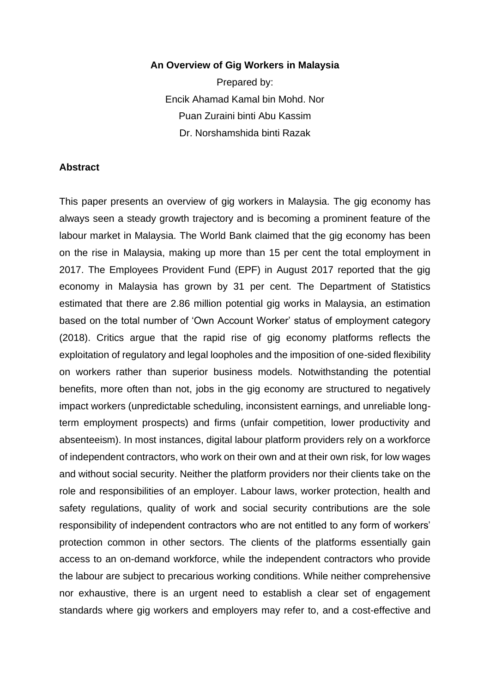## **An Overview of Gig Workers in Malaysia**

Prepared by: Encik Ahamad Kamal bin Mohd. Nor Puan Zuraini binti Abu Kassim Dr. Norshamshida binti Razak

## **Abstract**

This paper presents an overview of gig workers in Malaysia. The gig economy has always seen a steady growth trajectory and is becoming a prominent feature of the labour market in Malaysia. The World Bank claimed that the gig economy has been on the rise in Malaysia, making up more than 15 per cent the total employment in 2017. The Employees Provident Fund (EPF) in August 2017 reported that the gig economy in Malaysia has grown by 31 per cent. The Department of Statistics estimated that there are 2.86 million potential gig works in Malaysia, an estimation based on the total number of 'Own Account Worker' status of employment category (2018). Critics argue that the rapid rise of gig economy platforms reflects the exploitation of regulatory and legal loopholes and the imposition of one-sided flexibility on workers rather than superior business models. Notwithstanding the potential benefits, more often than not, jobs in the gig economy are structured to negatively impact workers (unpredictable scheduling, inconsistent earnings, and unreliable longterm employment prospects) and firms (unfair competition, lower productivity and absenteeism). In most instances, digital labour platform providers rely on a workforce of independent contractors, who work on their own and at their own risk, for low wages and without social security. Neither the platform providers nor their clients take on the role and responsibilities of an employer. Labour laws, worker protection, health and safety regulations, quality of work and social security contributions are the sole responsibility of independent contractors who are not entitled to any form of workers' protection common in other sectors. The clients of the platforms essentially gain access to an on-demand workforce, while the independent contractors who provide the labour are subject to precarious working conditions. While neither comprehensive nor exhaustive, there is an urgent need to establish a clear set of engagement standards where gig workers and employers may refer to, and a cost-effective and